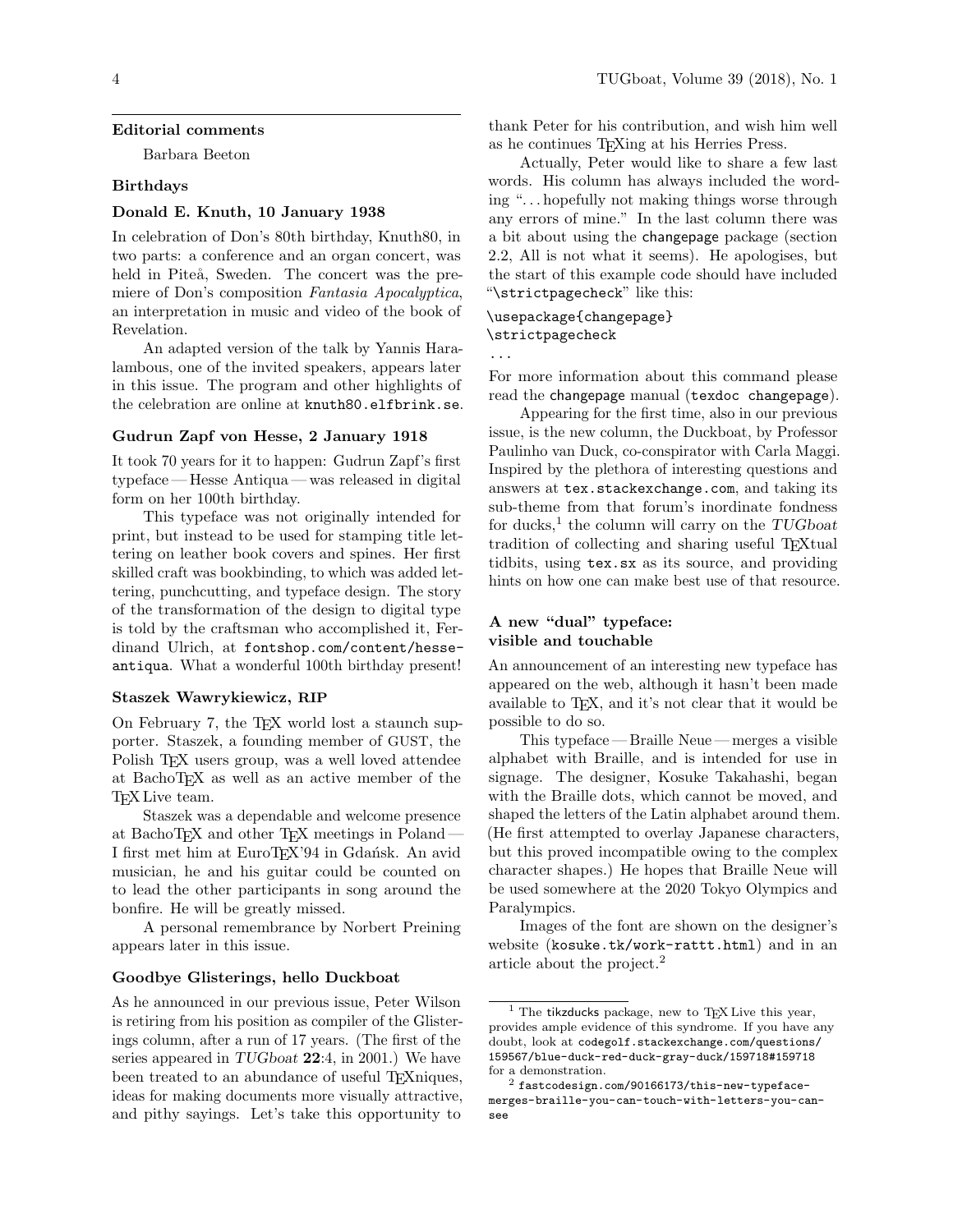#### Editorial comments

Barbara Beeton

#### Birthdays

### Donald E. Knuth, 10 January 1938

In celebration of Don's 80th birthday, Knuth80, in two parts: a conference and an organ concert, was held in Piteå, Sweden. The concert was the premiere of Don's composition Fantasia Apocalyptica, an interpretation in music and video of the book of Revelation.

An adapted version of the talk by Yannis Haralambous, one of the invited speakers, appears later in this issue. The program and other highlights of the celebration are online at <knuth80.elfbrink.se>.

### Gudrun Zapf von Hesse, 2 January 1918

It took 70 years for it to happen: Gudrun Zapf's first typeface— Hesse Antiqua— was released in digital form on her 100th birthday.

This typeface was not originally intended for print, but instead to be used for stamping title lettering on leather book covers and spines. Her first skilled craft was bookbinding, to which was added lettering, punchcutting, and typeface design. The story of the transformation of the design to digital type is told by the craftsman who accomplished it, Ferdinand Ulrich, at [fontshop.com/content/hesse](fontshop.com/content/hesse-antiqua)[antiqua](fontshop.com/content/hesse-antiqua). What a wonderful 100th birthday present!

#### Staszek Wawrykiewicz, RIP

On February 7, the TEX world lost a staunch supporter. Staszek, a founding member of GUST, the Polish TEX users group, was a well loved attendee at BachoTEX as well as an active member of the T<sub>F</sub>X Live team.

Staszek was a dependable and welcome presence at BachoTEX and other TEX meetings in Poland— I first met him at EuroTEX'94 in Gdańsk. An avid musician, he and his guitar could be counted on to lead the other participants in song around the bonfire. He will be greatly missed.

A personal remembrance by Norbert Preining appears later in this issue.

#### Goodbye Glisterings, hello Duckboat

As he announced in our previous issue, Peter Wilson is retiring from his position as compiler of the Glisterings column, after a run of 17 years. (The first of the series appeared in TUGboat 22:4, in 2001.) We have been treated to an abundance of useful TEXniques, ideas for making documents more visually attractive, and pithy sayings. Let's take this opportunity to

thank Peter for his contribution, and wish him well as he continues TEXing at his Herries Press.

Actually, Peter would like to share a few last words. His column has always included the wording ". . . hopefully not making things worse through any errors of mine." In the last column there was a bit about using the changepage package (section 2.2, All is not what it seems). He apologises, but the start of this example code should have included "\strictpagecheck" like this:

# \usepackage{changepage} \strictpagecheck

...

For more information about this command please read the changepage manual (texdoc changepage).

Appearing for the first time, also in our previous issue, is the new column, the Duckboat, by Professor Paulinho van Duck, co-conspirator with Carla Maggi. Inspired by the plethora of interesting questions and answers at <tex.stackexchange.com>, and taking its sub-theme from that forum's inordinate fondness for ducks,<sup>[1](#page-0-0)</sup> the column will carry on the  $TUGboat$ tradition of collecting and sharing useful T<sub>EX</sub>tual tidbits, using tex.sx as its source, and providing hints on how one can make best use of that resource.

## A new "dual" typeface: visible and touchable

An announcement of an interesting new typeface has appeared on the web, although it hasn't been made available to T<sub>F</sub>X, and it's not clear that it would be possible to do so.

This typeface — Braille Neue — merges a visible alphabet with Braille, and is intended for use in signage. The designer, Kosuke Takahashi, began with the Braille dots, which cannot be moved, and shaped the letters of the Latin alphabet around them. (He first attempted to overlay Japanese characters, but this proved incompatible owing to the complex character shapes.) He hopes that Braille Neue will be used somewhere at the 2020 Tokyo Olympics and Paralympics.

Images of the font are shown on the designer's website (<kosuke.tk/work-rattt.html>) and in an article about the project.[2](#page-0-1)

<span id="page-0-0"></span>The tikzducks package, new to TEX Live this year, provides ample evidence of this syndrome. If you have any doubt, look at [codegolf.stackexchange.com/questions/](codegolf.stackexchange.com/questions/159567/blue-duck-red-duck-gray-duck/159718#159718) [159567/blue-duck-red-duck-gray-duck/159718#159718](codegolf.stackexchange.com/questions/159567/blue-duck-red-duck-gray-duck/159718#159718) for a demonstration.

<span id="page-0-1"></span> $^2$  [fastcodesign.com/90166173/this-new-typeface](fastcodesign.com/90166173/this-new-typeface-merges-braille-you-can-touch-with-letters-you-can-see)[merges-braille-you-can-touch-with-letters-you-can](fastcodesign.com/90166173/this-new-typeface-merges-braille-you-can-touch-with-letters-you-can-see)[see](fastcodesign.com/90166173/this-new-typeface-merges-braille-you-can-touch-with-letters-you-can-see)